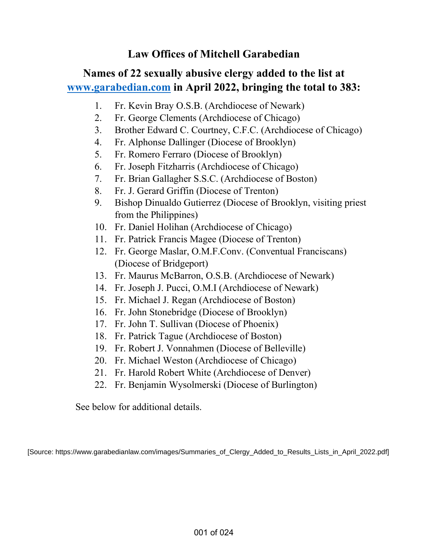# **Law Offices of Mitchell Garabedian**

# **Names of 22 sexually abusive clergy added to the list at www.garabedian.com in April 2022, bringing the total to 383:**

- 1. Fr. Kevin Bray O.S.B. (Archdiocese of Newark)
- 2. Fr. George Clements (Archdiocese of Chicago)
- 3. Brother Edward C. Courtney, C.F.C. (Archdiocese of Chicago)
- 4. Fr. Alphonse Dallinger (Diocese of Brooklyn)
- 5. Fr. Romero Ferraro (Diocese of Brooklyn)
- 6. Fr. Joseph Fitzharris (Archdiocese of Chicago)
- 7. Fr. Brian Gallagher S.S.C. (Archdiocese of Boston)
- 8. Fr. J. Gerard Griffin (Diocese of Trenton)
- 9. Bishop Dinualdo Gutierrez (Diocese of Brooklyn, visiting priest from the Philippines)
- 10. Fr. Daniel Holihan (Archdiocese of Chicago)
- 11. Fr. Patrick Francis Magee (Diocese of Trenton)
- 12. Fr. George Maslar, O.M.F.Conv. (Conventual Franciscans) (Diocese of Bridgeport)
- 13. Fr. Maurus McBarron, O.S.B. (Archdiocese of Newark)
- 14. Fr. Joseph J. Pucci, O.M.I (Archdiocese of Newark)
- 15. Fr. Michael J. Regan (Archdiocese of Boston)
- 16. Fr. John Stonebridge (Diocese of Brooklyn)
- 17. Fr. John T. Sullivan (Diocese of Phoenix)
- 18. Fr. Patrick Tague (Archdiocese of Boston)
- 19. Fr. Robert J. Vonnahmen (Diocese of Belleville)
- 20. Fr. Michael Weston (Archdiocese of Chicago)
- 21. Fr. Harold Robert White (Archdiocese of Denver)
- 22. Fr. Benjamin Wysolmerski (Diocese of Burlington)

See below for additional details.

[Source: https://www.garabedianlaw.com/images/Summaries\_of\_Clergy\_Added\_to\_Results\_Lists\_in\_April\_2022.pdf]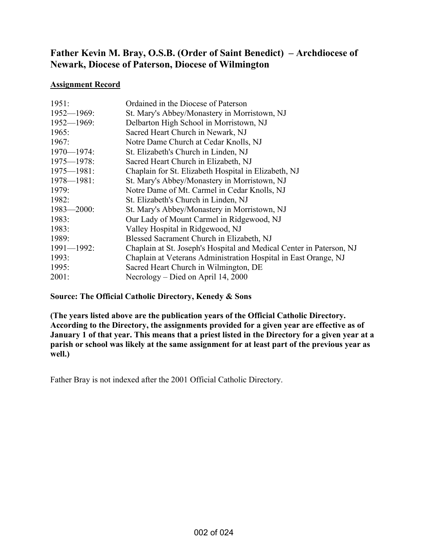# **Father Kevin M. Bray, O.S.B. (Order of Saint Benedict) – Archdiocese of Newark, Diocese of Paterson, Diocese of Wilmington**

### **Assignment Record**

| 1951:           | Ordained in the Diocese of Paterson                                  |
|-----------------|----------------------------------------------------------------------|
| $1952 - 1969$ : | St. Mary's Abbey/Monastery in Morristown, NJ                         |
| $1952 - 1969$ : | Delbarton High School in Morristown, NJ                              |
| 1965:           | Sacred Heart Church in Newark, NJ                                    |
| 1967:           | Notre Dame Church at Cedar Knolls, NJ                                |
| $1970 - 1974$ : | St. Elizabeth's Church in Linden, NJ                                 |
| $1975 - 1978$ : | Sacred Heart Church in Elizabeth, NJ                                 |
| $1975 - 1981$ : | Chaplain for St. Elizabeth Hospital in Elizabeth, NJ                 |
| $1978 - 1981$ : | St. Mary's Abbey/Monastery in Morristown, NJ                         |
| 1979:           | Notre Dame of Mt. Carmel in Cedar Knolls, NJ                         |
| 1982:           | St. Elizabeth's Church in Linden, NJ                                 |
| $1983 - 2000$ : | St. Mary's Abbey/Monastery in Morristown, NJ                         |
| 1983:           | Our Lady of Mount Carmel in Ridgewood, NJ                            |
| 1983:           | Valley Hospital in Ridgewood, NJ                                     |
| 1989:           | Blessed Sacrament Church in Elizabeth, NJ                            |
| $1991 - 1992$ : | Chaplain at St. Joseph's Hospital and Medical Center in Paterson, NJ |
| 1993:           | Chaplain at Veterans Administration Hospital in East Orange, NJ      |
| 1995:           | Sacred Heart Church in Wilmington, DE                                |
| 2001:           | Necrology – Died on April 14, 2000                                   |

## **Source: The Official Catholic Directory, Kenedy & Sons**

**(The years listed above are the publication years of the Official Catholic Directory. According to the Directory, the assignments provided for a given year are effective as of January 1 of that year. This means that a priest listed in the Directory for a given year at a parish or school was likely at the same assignment for at least part of the previous year as well.)** 

Father Bray is not indexed after the 2001 Official Catholic Directory.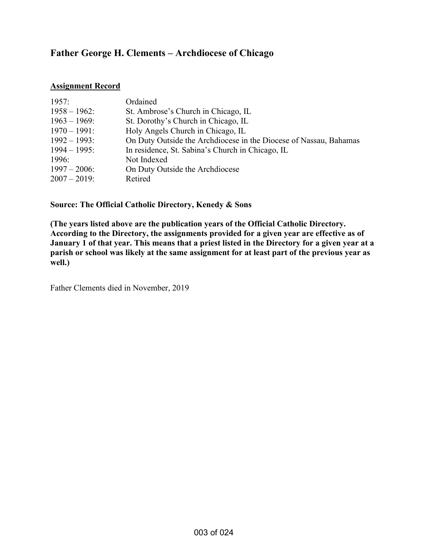# **Father George H. Clements – Archdiocese of Chicago**

### **Assignment Record**

| 1957:           | Ordained                                                          |
|-----------------|-------------------------------------------------------------------|
| $1958 - 1962$ : | St. Ambrose's Church in Chicago, IL                               |
| $1963 - 1969$ : | St. Dorothy's Church in Chicago, IL                               |
| $1970 - 1991$ : | Holy Angels Church in Chicago, IL                                 |
| $1992 - 1993$ : | On Duty Outside the Archdiocese in the Diocese of Nassau, Bahamas |
| $1994 - 1995$ : | In residence, St. Sabina's Church in Chicago, IL                  |
| 1996:           | Not Indexed                                                       |
| $1997 - 2006$ : | On Duty Outside the Archdiocese                                   |
| $2007 - 2019$ : | Retired                                                           |

**Source: The Official Catholic Directory, Kenedy & Sons** 

**(The years listed above are the publication years of the Official Catholic Directory. According to the Directory, the assignments provided for a given year are effective as of January 1 of that year. This means that a priest listed in the Directory for a given year at a parish or school was likely at the same assignment for at least part of the previous year as well.)** 

Father Clements died in November, 2019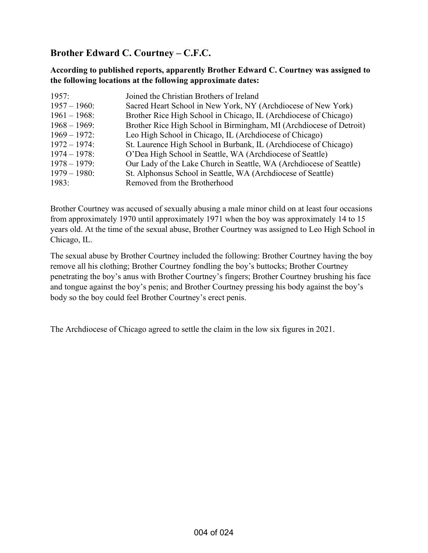# **Brother Edward C. Courtney – C.F.C.**

**According to published reports, apparently Brother Edward C. Courtney was assigned to the following locations at the following approximate dates:** 

| 1957:           | Joined the Christian Brothers of Ireland                            |
|-----------------|---------------------------------------------------------------------|
| $1957 - 1960$ : | Sacred Heart School in New York, NY (Archdiocese of New York)       |
| $1961 - 1968$ : | Brother Rice High School in Chicago, IL (Archdiocese of Chicago)    |
| $1968 - 1969$ : | Brother Rice High School in Birmingham, MI (Archdiocese of Detroit) |
| $1969 - 1972$ : | Leo High School in Chicago, IL (Archdiocese of Chicago)             |
| $1972 - 1974$ : | St. Laurence High School in Burbank, IL (Archdiocese of Chicago)    |
| $1974 - 1978$ : | O'Dea High School in Seattle, WA (Archdiocese of Seattle)           |
| $1978 - 1979$ : | Our Lady of the Lake Church in Seattle, WA (Archdiocese of Seattle) |
| $1979 - 1980$ : | St. Alphonsus School in Seattle, WA (Archdiocese of Seattle)        |
| 1983:           | Removed from the Brotherhood                                        |

Brother Courtney was accused of sexually abusing a male minor child on at least four occasions from approximately 1970 until approximately 1971 when the boy was approximately 14 to 15 years old. At the time of the sexual abuse, Brother Courtney was assigned to Leo High School in Chicago, IL.

The sexual abuse by Brother Courtney included the following: Brother Courtney having the boy remove all his clothing; Brother Courtney fondling the boy's buttocks; Brother Courtney penetrating the boy's anus with Brother Courtney's fingers; Brother Courtney brushing his face and tongue against the boy's penis; and Brother Courtney pressing his body against the boy's body so the boy could feel Brother Courtney's erect penis.

The Archdiocese of Chicago agreed to settle the claim in the low six figures in 2021.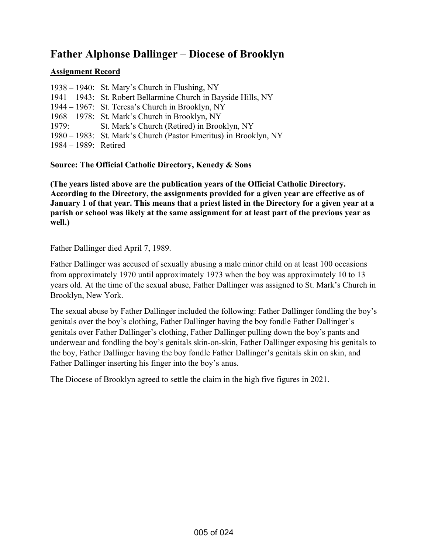# **Father Alphonse Dallinger – Diocese of Brooklyn**

## **Assignment Record**

|                         | 1938 – 1940: St. Mary's Church in Flushing, NY                   |
|-------------------------|------------------------------------------------------------------|
|                         | 1941 – 1943: St. Robert Bellarmine Church in Bayside Hills, NY   |
|                         | 1944 – 1967: St. Teresa's Church in Brooklyn, NY                 |
|                         | 1968 – 1978: St. Mark's Church in Brooklyn, NY                   |
| 1979:                   | St. Mark's Church (Retired) in Brooklyn, NY                      |
|                         | 1980 – 1983: St. Mark's Church (Pastor Emeritus) in Brooklyn, NY |
| $1984 - 1989$ : Retired |                                                                  |

**Source: The Official Catholic Directory, Kenedy & Sons** 

**(The years listed above are the publication years of the Official Catholic Directory. According to the Directory, the assignments provided for a given year are effective as of January 1 of that year. This means that a priest listed in the Directory for a given year at a parish or school was likely at the same assignment for at least part of the previous year as well.)** 

Father Dallinger died April 7, 1989.

Father Dallinger was accused of sexually abusing a male minor child on at least 100 occasions from approximately 1970 until approximately 1973 when the boy was approximately 10 to 13 years old. At the time of the sexual abuse, Father Dallinger was assigned to St. Mark's Church in Brooklyn, New York.

The sexual abuse by Father Dallinger included the following: Father Dallinger fondling the boy's genitals over the boy's clothing, Father Dallinger having the boy fondle Father Dallinger's genitals over Father Dallinger's clothing, Father Dallinger pulling down the boy's pants and underwear and fondling the boy's genitals skin-on-skin, Father Dallinger exposing his genitals to the boy, Father Dallinger having the boy fondle Father Dallinger's genitals skin on skin, and Father Dallinger inserting his finger into the boy's anus.

The Diocese of Brooklyn agreed to settle the claim in the high five figures in 2021.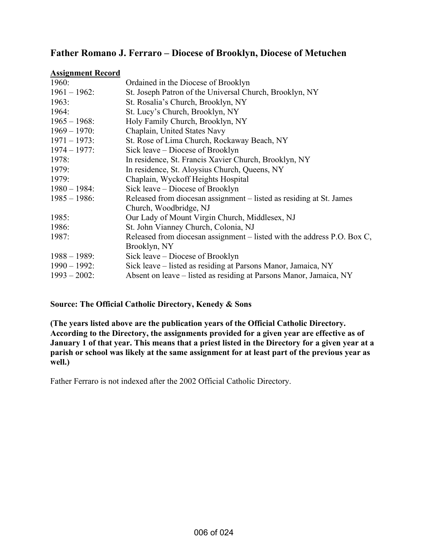## **Father Romano J. Ferraro – Diocese of Brooklyn, Diocese of Metuchen**

#### **Assignment Record**

| 1960:           | Ordained in the Diocese of Brooklyn                                     |
|-----------------|-------------------------------------------------------------------------|
| $1961 - 1962$ : | St. Joseph Patron of the Universal Church, Brooklyn, NY                 |
| 1963:           | St. Rosalia's Church, Brooklyn, NY                                      |
| 1964:           | St. Lucy's Church, Brooklyn, NY                                         |
| $1965 - 1968$ : | Holy Family Church, Brooklyn, NY                                        |
| $1969 - 1970$ : | Chaplain, United States Navy                                            |
| $1971 - 1973$ : | St. Rose of Lima Church, Rockaway Beach, NY                             |
| $1974 - 1977$ : | Sick leave – Diocese of Brooklyn                                        |
| 1978:           | In residence, St. Francis Xavier Church, Brooklyn, NY                   |
| 1979:           | In residence, St. Aloysius Church, Queens, NY                           |
| 1979:           | Chaplain, Wyckoff Heights Hospital                                      |
| $1980 - 1984$ : | Sick leave – Diocese of Brooklyn                                        |
| $1985 - 1986$ : | Released from diocesan assignment – listed as residing at St. James     |
|                 | Church, Woodbridge, NJ                                                  |
| 1985:           | Our Lady of Mount Virgin Church, Middlesex, NJ                          |
| 1986:           | St. John Vianney Church, Colonia, NJ                                    |
| 1987:           | Released from diocesan assignment – listed with the address P.O. Box C, |
|                 | Brooklyn, NY                                                            |
| $1988 - 1989$ : | Sick leave – Diocese of Brooklyn                                        |
| $1990 - 1992$ : | Sick leave – listed as residing at Parsons Manor, Jamaica, NY           |
| $1993 - 2002$ : | Absent on leave – listed as residing at Parsons Manor, Jamaica, NY      |

#### **Source: The Official Catholic Directory, Kenedy & Sons**

**(The years listed above are the publication years of the Official Catholic Directory. According to the Directory, the assignments provided for a given year are effective as of January 1 of that year. This means that a priest listed in the Directory for a given year at a parish or school was likely at the same assignment for at least part of the previous year as well.)** 

Father Ferraro is not indexed after the 2002 Official Catholic Directory.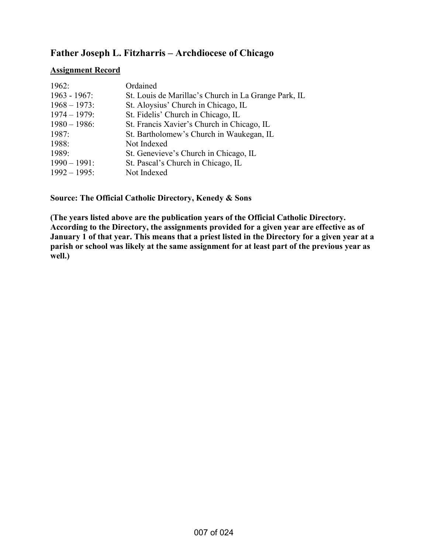# **Father Joseph L. Fitzharris – Archdiocese of Chicago**

### **Assignment Record**

| 1962:           | Ordained                                             |
|-----------------|------------------------------------------------------|
| $1963 - 1967$ : | St. Louis de Marillac's Church in La Grange Park, IL |
| $1968 - 1973$ : | St. Aloysius' Church in Chicago, IL                  |
| $1974 - 1979$ : | St. Fidelis' Church in Chicago, IL                   |
| $1980 - 1986$ : | St. Francis Xavier's Church in Chicago, IL           |
| 1987:           | St. Bartholomew's Church in Waukegan, IL             |
| 1988:           | Not Indexed                                          |
| 1989:           | St. Genevieve's Church in Chicago, IL                |
| $1990 - 1991$ : | St. Pascal's Church in Chicago, IL                   |
| $1992 - 1995$ : | Not Indexed                                          |

**Source: The Official Catholic Directory, Kenedy & Sons** 

**(The years listed above are the publication years of the Official Catholic Directory. According to the Directory, the assignments provided for a given year are effective as of January 1 of that year. This means that a priest listed in the Directory for a given year at a parish or school was likely at the same assignment for at least part of the previous year as well.)**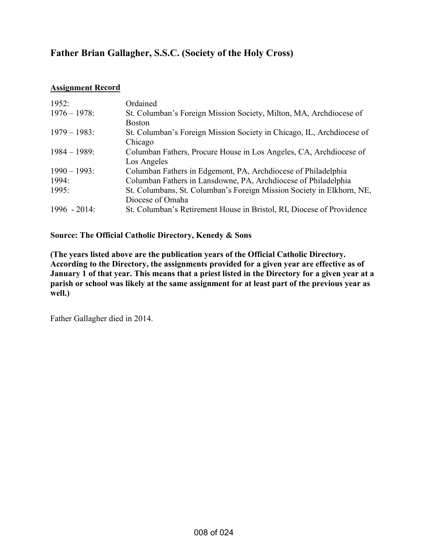# **Father Brian Gallagher, S.S.C. (Society of the Holy Cross)**

## **Assignment Record**

| 1952:           | Ordained                                                              |
|-----------------|-----------------------------------------------------------------------|
| $1976 - 1978$ : | St. Columban's Foreign Mission Society, Milton, MA, Archdiocese of    |
|                 | <b>Boston</b>                                                         |
| $1979 - 1983$ : | St. Columban's Foreign Mission Society in Chicago, IL, Archdiocese of |
|                 | Chicago                                                               |
| $1984 - 1989$ : | Columban Fathers, Procure House in Los Angeles, CA, Archdiocese of    |
|                 | Los Angeles                                                           |
| $1990 - 1993$ : | Columban Fathers in Edgemont, PA, Archdiocese of Philadelphia         |
| 1994:           | Columban Fathers in Lansdowne, PA, Archdiocese of Philadelphia        |
| 1995:           | St. Columbans, St. Columban's Foreign Mission Society in Elkhorn, NE, |
|                 | Diocese of Omaha                                                      |
| $1996 - 2014$   | St. Columban's Retirement House in Bristol, RI, Diocese of Providence |

## **Source: The Official Catholic Directory, Kenedy & Sons**

**(The years listed above are the publication years of the Official Catholic Directory. According to the Directory, the assignments provided for a given year are effective as of January 1 of that year. This means that a priest listed in the Directory for a given year at a parish or school was likely at the same assignment for at least part of the previous year as well.)** 

Father Gallagher died in 2014.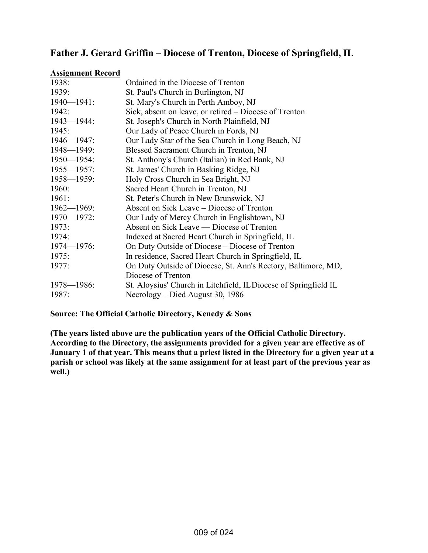## **Father J. Gerard Griffin – Diocese of Trenton, Diocese of Springfield, IL**

#### **Assignment Record**

| 1938:           | Ordained in the Diocese of Trenton                               |
|-----------------|------------------------------------------------------------------|
| 1939:           | St. Paul's Church in Burlington, NJ                              |
| $1940 - 1941$ : | St. Mary's Church in Perth Amboy, NJ                             |
| 1942:           | Sick, absent on leave, or retired - Diocese of Trenton           |
| $1943 - 1944$ : | St. Joseph's Church in North Plainfield, NJ                      |
| 1945:           | Our Lady of Peace Church in Fords, NJ                            |
| $1946 - 1947$ : | Our Lady Star of the Sea Church in Long Beach, NJ                |
| $1948 - 1949$ : | Blessed Sacrament Church in Trenton, NJ                          |
| $1950 - 1954$ : | St. Anthony's Church (Italian) in Red Bank, NJ                   |
| $1955 - 1957$ : | St. James' Church in Basking Ridge, NJ                           |
| $1958 - 1959$ : | Holy Cross Church in Sea Bright, NJ                              |
| 1960:           | Sacred Heart Church in Trenton, NJ                               |
| 1961:           | St. Peter's Church in New Brunswick, NJ                          |
| $1962 - 1969$ : | Absent on Sick Leave – Diocese of Trenton                        |
| $1970 - 1972$ : | Our Lady of Mercy Church in Englishtown, NJ                      |
| 1973:           | Absent on Sick Leave — Diocese of Trenton                        |
| 1974:           | Indexed at Sacred Heart Church in Springfield, IL                |
| $1974 - 1976$ : | On Duty Outside of Diocese – Diocese of Trenton                  |
| 1975:           | In residence, Sacred Heart Church in Springfield, IL             |
| 1977:           | On Duty Outside of Diocese, St. Ann's Rectory, Baltimore, MD,    |
|                 | Diocese of Trenton                                               |
| $1978 - 1986$ : | St. Aloysius' Church in Litchfield, IL Diocese of Springfield IL |
| 1987:           | Necrology – Died August 30, 1986                                 |

## **Source: The Official Catholic Directory, Kenedy & Sons**

**(The years listed above are the publication years of the Official Catholic Directory. According to the Directory, the assignments provided for a given year are effective as of January 1 of that year. This means that a priest listed in the Directory for a given year at a parish or school was likely at the same assignment for at least part of the previous year as well.)**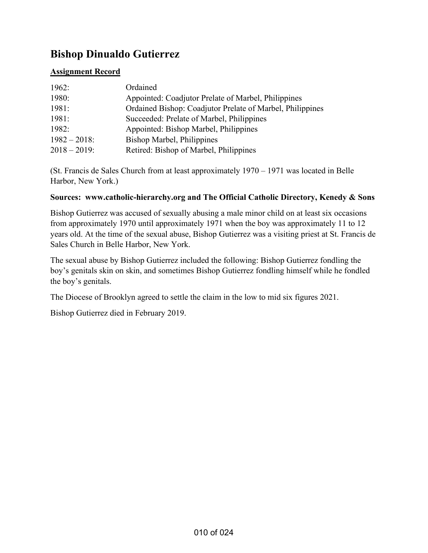# **Bishop Dinualdo Gutierrez**

## **Assignment Record**

| 1962:           | Ordained                                                  |
|-----------------|-----------------------------------------------------------|
| 1980:           | Appointed: Coadjutor Prelate of Marbel, Philippines       |
| 1981:           | Ordained Bishop: Coadjutor Prelate of Marbel, Philippines |
| 1981:           | Succeeded: Prelate of Marbel, Philippines                 |
| 1982:           | Appointed: Bishop Marbel, Philippines                     |
| $1982 - 2018$ : | Bishop Marbel, Philippines                                |
| $2018 - 2019$ : | Retired: Bishop of Marbel, Philippines                    |

(St. Francis de Sales Church from at least approximately 1970 – 1971 was located in Belle Harbor, New York.)

### **Sources: www.catholic-hierarchy.org and The Official Catholic Directory, Kenedy & Sons**

Bishop Gutierrez was accused of sexually abusing a male minor child on at least six occasions from approximately 1970 until approximately 1971 when the boy was approximately 11 to 12 years old. At the time of the sexual abuse, Bishop Gutierrez was a visiting priest at St. Francis de Sales Church in Belle Harbor, New York.

The sexual abuse by Bishop Gutierrez included the following: Bishop Gutierrez fondling the boy's genitals skin on skin, and sometimes Bishop Gutierrez fondling himself while he fondled the boy's genitals.

The Diocese of Brooklyn agreed to settle the claim in the low to mid six figures 2021.

Bishop Gutierrez died in February 2019.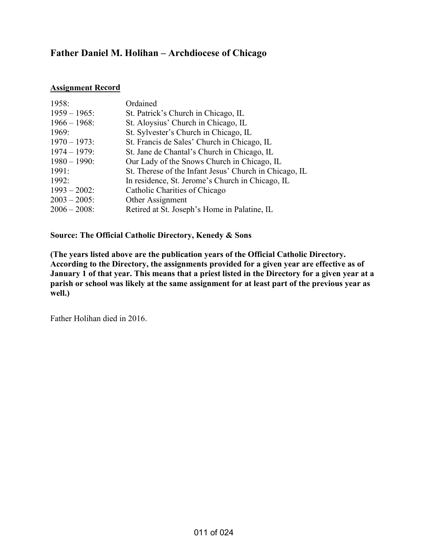# **Father Daniel M. Holihan – Archdiocese of Chicago**

### **Assignment Record**

| 1958:           | Ordained                                               |
|-----------------|--------------------------------------------------------|
| $1959 - 1965$ : | St. Patrick's Church in Chicago, IL                    |
| $1966 - 1968$ : | St. Aloysius' Church in Chicago, IL                    |
| 1969:           | St. Sylvester's Church in Chicago, IL                  |
| $1970 - 1973$ : | St. Francis de Sales' Church in Chicago, IL            |
| $1974 - 1979$ : | St. Jane de Chantal's Church in Chicago, IL            |
| $1980 - 1990$ : | Our Lady of the Snows Church in Chicago, IL            |
| 1991:           | St. Therese of the Infant Jesus' Church in Chicago, IL |
| 1992:           | In residence, St. Jerome's Church in Chicago, IL       |
| $1993 - 2002$ : | Catholic Charities of Chicago                          |
| $2003 - 2005$ : | Other Assignment                                       |
| $2006 - 2008$ : | Retired at St. Joseph's Home in Palatine, IL           |

### **Source: The Official Catholic Directory, Kenedy & Sons**

**(The years listed above are the publication years of the Official Catholic Directory. According to the Directory, the assignments provided for a given year are effective as of January 1 of that year. This means that a priest listed in the Directory for a given year at a parish or school was likely at the same assignment for at least part of the previous year as well.)** 

Father Holihan died in 2016.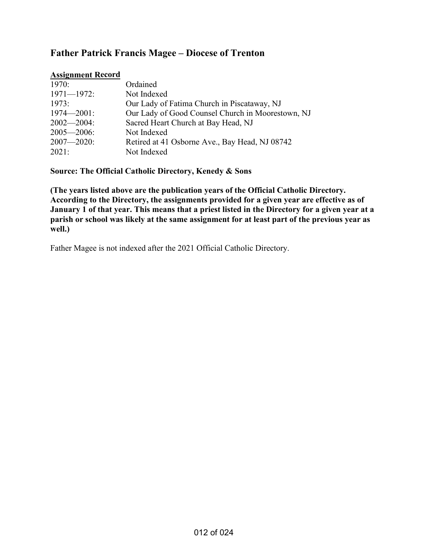# **Father Patrick Francis Magee – Diocese of Trenton**

### **Assignment Record**

| 1970:           | Ordained                                          |
|-----------------|---------------------------------------------------|
| $1971 - 1972$ : | Not Indexed                                       |
| 1973:           | Our Lady of Fatima Church in Piscataway, NJ       |
| $1974 - 2001$ : | Our Lady of Good Counsel Church in Moorestown, NJ |
| $2002 - 2004$ : | Sacred Heart Church at Bay Head, NJ               |
| $2005 - 2006$ : | Not Indexed                                       |
| $2007 - 2020$ : | Retired at 41 Osborne Ave., Bay Head, NJ 08742    |
| 2021:           | Not Indexed                                       |

**Source: The Official Catholic Directory, Kenedy & Sons** 

**(The years listed above are the publication years of the Official Catholic Directory. According to the Directory, the assignments provided for a given year are effective as of January 1 of that year. This means that a priest listed in the Directory for a given year at a parish or school was likely at the same assignment for at least part of the previous year as well.)** 

Father Magee is not indexed after the 2021 Official Catholic Directory.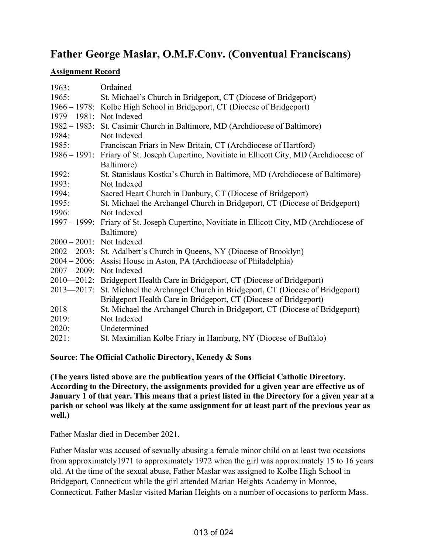# **Father George Maslar, O.M.F.Conv. (Conventual Franciscans)**

## **Assignment Record**

| 1963:                    | Ordained                                                                       |
|--------------------------|--------------------------------------------------------------------------------|
| 1965:                    | St. Michael's Church in Bridgeport, CT (Diocese of Bridgeport)                 |
|                          | 1966 – 1978: Kolbe High School in Bridgeport, CT (Diocese of Bridgeport)       |
| 1979 – 1981: Not Indexed |                                                                                |
|                          | 1982 – 1983: St. Casimir Church in Baltimore, MD (Archdiocese of Baltimore)    |
| 1984:                    | Not Indexed                                                                    |
| 1985:                    | Franciscan Friars in New Britain, CT (Archdiocese of Hartford)                 |
| $1986 - 1991$ :          | Friary of St. Joseph Cupertino, Novitiate in Ellicott City, MD (Archdiocese of |
|                          | Baltimore)                                                                     |
| 1992:                    | St. Stanislaus Kostka's Church in Baltimore, MD (Archdiocese of Baltimore)     |
| 1993:                    | Not Indexed                                                                    |
| 1994:                    | Sacred Heart Church in Danbury, CT (Diocese of Bridgeport)                     |
| 1995:                    | St. Michael the Archangel Church in Bridgeport, CT (Diocese of Bridgeport)     |
| 1996:                    | Not Indexed                                                                    |
| $1997 - 1999$ :          | Friary of St. Joseph Cupertino, Novitiate in Ellicott City, MD (Archdiocese of |
|                          | Baltimore)                                                                     |
| 2000 - 2001: Not Indexed |                                                                                |
|                          | 2002 – 2003: St. Adalbert's Church in Queens, NY (Diocese of Brooklyn)         |
| $2004 - 2006$ :          | Assisi House in Aston, PA (Archdiocese of Philadelphia)                        |
| $2007 - 2009$ :          | Not Indexed                                                                    |
| $2010 - 2012$ :          | Bridgeport Health Care in Bridgeport, CT (Diocese of Bridgeport)               |
| $2013 - 2017$ :          | St. Michael the Archangel Church in Bridgeport, CT (Diocese of Bridgeport)     |
|                          | Bridgeport Health Care in Bridgeport, CT (Diocese of Bridgeport)               |
| 2018                     | St. Michael the Archangel Church in Bridgeport, CT (Diocese of Bridgeport)     |
| 2019:                    | Not Indexed                                                                    |
| 2020:                    | Undetermined                                                                   |
| 2021:                    | St. Maximilian Kolbe Friary in Hamburg, NY (Diocese of Buffalo)                |

**Source: The Official Catholic Directory, Kenedy & Sons** 

**(The years listed above are the publication years of the Official Catholic Directory. According to the Directory, the assignments provided for a given year are effective as of January 1 of that year. This means that a priest listed in the Directory for a given year at a parish or school was likely at the same assignment for at least part of the previous year as well.)** 

Father Maslar died in December 2021.

Father Maslar was accused of sexually abusing a female minor child on at least two occasions from approximately1971 to approximately 1972 when the girl was approximately 15 to 16 years old. At the time of the sexual abuse, Father Maslar was assigned to Kolbe High School in Bridgeport, Connecticut while the girl attended Marian Heights Academy in Monroe, Connecticut. Father Maslar visited Marian Heights on a number of occasions to perform Mass.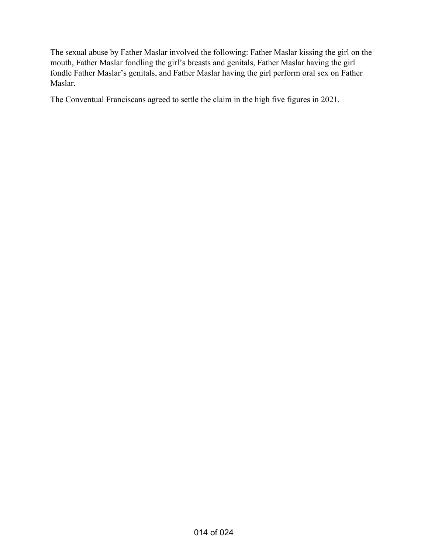The sexual abuse by Father Maslar involved the following: Father Maslar kissing the girl on the mouth, Father Maslar fondling the girl's breasts and genitals, Father Maslar having the girl fondle Father Maslar's genitals, and Father Maslar having the girl perform oral sex on Father Maslar.

The Conventual Franciscans agreed to settle the claim in the high five figures in 2021.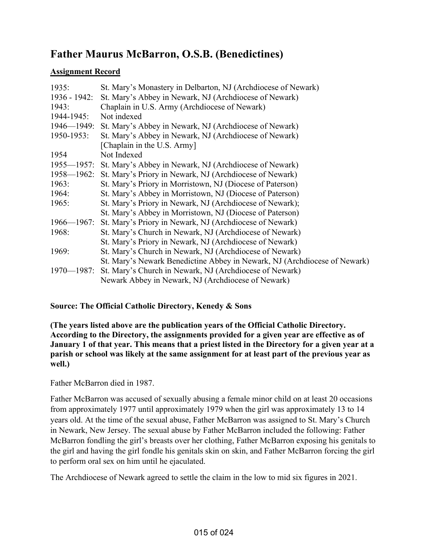# **Father Maurus McBarron, O.S.B. (Benedictines)**

## **Assignment Record**

| 1935:           | St. Mary's Monastery in Delbarton, NJ (Archdiocese of Newark)             |
|-----------------|---------------------------------------------------------------------------|
| $1936 - 1942$ : | St. Mary's Abbey in Newark, NJ (Archdiocese of Newark)                    |
| 1943:           | Chaplain in U.S. Army (Archdiocese of Newark)                             |
| 1944-1945:      | Not indexed                                                               |
| $1946 - 1949$ : | St. Mary's Abbey in Newark, NJ (Archdiocese of Newark)                    |
| 1950-1953:      | St. Mary's Abbey in Newark, NJ (Archdiocese of Newark)                    |
|                 | [Chaplain in the U.S. Army]                                               |
| 1954            | Not Indexed                                                               |
| $1955 - 1957$ : | St. Mary's Abbey in Newark, NJ (Archdiocese of Newark)                    |
| $1958 - 1962$ : | St. Mary's Priory in Newark, NJ (Archdiocese of Newark)                   |
| 1963:           | St. Mary's Priory in Morristown, NJ (Diocese of Paterson)                 |
| 1964:           | St. Mary's Abbey in Morristown, NJ (Diocese of Paterson)                  |
| 1965:           | St. Mary's Priory in Newark, NJ (Archdiocese of Newark);                  |
|                 | St. Mary's Abbey in Morristown, NJ (Diocese of Paterson)                  |
| $1966 - 1967$ : | St. Mary's Priory in Newark, NJ (Archdiocese of Newark)                   |
| 1968:           | St. Mary's Church in Newark, NJ (Archdiocese of Newark)                   |
|                 | St. Mary's Priory in Newark, NJ (Archdiocese of Newark)                   |
| 1969:           | St. Mary's Church in Newark, NJ (Archdiocese of Newark)                   |
|                 | St. Mary's Newark Benedictine Abbey in Newark, NJ (Archdiocese of Newark) |
| $1970 - 1987$ : | St. Mary's Church in Newark, NJ (Archdiocese of Newark)                   |
|                 | Newark Abbey in Newark, NJ (Archdiocese of Newark)                        |

## **Source: The Official Catholic Directory, Kenedy & Sons**

**(The years listed above are the publication years of the Official Catholic Directory. According to the Directory, the assignments provided for a given year are effective as of January 1 of that year. This means that a priest listed in the Directory for a given year at a parish or school was likely at the same assignment for at least part of the previous year as well.)** 

## Father McBarron died in 1987.

Father McBarron was accused of sexually abusing a female minor child on at least 20 occasions from approximately 1977 until approximately 1979 when the girl was approximately 13 to 14 years old. At the time of the sexual abuse, Father McBarron was assigned to St. Mary's Church in Newark, New Jersey. The sexual abuse by Father McBarron included the following: Father McBarron fondling the girl's breasts over her clothing, Father McBarron exposing his genitals to the girl and having the girl fondle his genitals skin on skin, and Father McBarron forcing the girl to perform oral sex on him until he ejaculated.

The Archdiocese of Newark agreed to settle the claim in the low to mid six figures in 2021.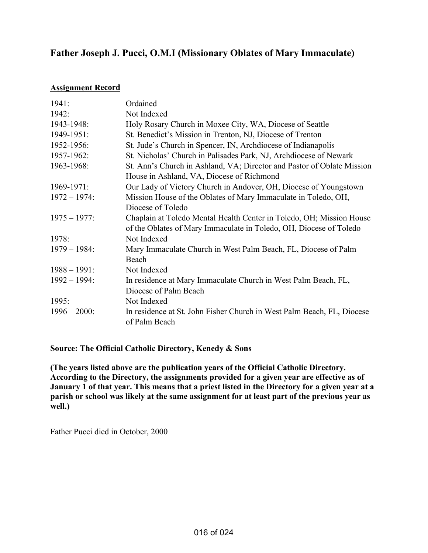# **Father Joseph J. Pucci, O.M.I (Missionary Oblates of Mary Immaculate)**

### **Assignment Record**

| 1941:           | Ordained                                                               |
|-----------------|------------------------------------------------------------------------|
| 1942:           | Not Indexed                                                            |
| 1943-1948:      | Holy Rosary Church in Moxee City, WA, Diocese of Seattle               |
| 1949-1951:      | St. Benedict's Mission in Trenton, NJ, Diocese of Trenton              |
| 1952-1956:      | St. Jude's Church in Spencer, IN, Archdiocese of Indianapolis          |
| 1957-1962:      | St. Nicholas' Church in Palisades Park, NJ, Archdiocese of Newark      |
| 1963-1968:      | St. Ann's Church in Ashland, VA; Director and Pastor of Oblate Mission |
|                 | House in Ashland, VA, Diocese of Richmond                              |
| 1969-1971:      | Our Lady of Victory Church in Andover, OH, Diocese of Youngstown       |
| $1972 - 1974$ : | Mission House of the Oblates of Mary Immaculate in Toledo, OH,         |
|                 | Diocese of Toledo                                                      |
| $1975 - 1977$ : | Chaplain at Toledo Mental Health Center in Toledo, OH; Mission House   |
|                 | of the Oblates of Mary Immaculate in Toledo, OH, Diocese of Toledo     |
| 1978:           | Not Indexed                                                            |
| $1979 - 1984$ : | Mary Immaculate Church in West Palm Beach, FL, Diocese of Palm         |
|                 | Beach                                                                  |
| $1988 - 1991$ : | Not Indexed                                                            |
| $1992 - 1994$ : | In residence at Mary Immaculate Church in West Palm Beach, FL,         |
|                 | Diocese of Palm Beach                                                  |
| 1995:           | Not Indexed                                                            |
| $1996 - 2000$ : | In residence at St. John Fisher Church in West Palm Beach, FL, Diocese |
|                 | of Palm Beach                                                          |

**Source: The Official Catholic Directory, Kenedy & Sons** 

**(The years listed above are the publication years of the Official Catholic Directory. According to the Directory, the assignments provided for a given year are effective as of January 1 of that year. This means that a priest listed in the Directory for a given year at a parish or school was likely at the same assignment for at least part of the previous year as well.)** 

Father Pucci died in October, 2000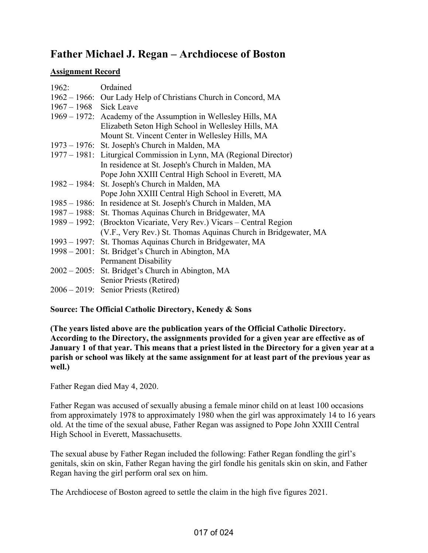# **Father Michael J. Regan – Archdiocese of Boston**

## **Assignment Record**

| 1962: Ordained           |                                                                      |
|--------------------------|----------------------------------------------------------------------|
|                          | 1962 – 1966: Our Lady Help of Christians Church in Concord, MA       |
| $1967 - 1968$ Sick Leave |                                                                      |
|                          | 1969 – 1972: Academy of the Assumption in Wellesley Hills, MA        |
|                          | Elizabeth Seton High School in Wellesley Hills, MA                   |
|                          | Mount St. Vincent Center in Wellesley Hills, MA                      |
|                          | 1973 – 1976: St. Joseph's Church in Malden, MA                       |
|                          | 1977 – 1981: Liturgical Commission in Lynn, MA (Regional Director)   |
|                          | In residence at St. Joseph's Church in Malden, MA                    |
|                          | Pope John XXIII Central High School in Everett, MA                   |
|                          | 1982 – 1984: St. Joseph's Church in Malden, MA                       |
|                          | Pope John XXIII Central High School in Everett, MA                   |
|                          | 1985 – 1986: In residence at St. Joseph's Church in Malden, MA       |
|                          | 1987 – 1988: St. Thomas Aquinas Church in Bridgewater, MA            |
|                          | 1989 – 1992: (Brockton Vicariate, Very Rev.) Vicars – Central Region |
|                          | (V.F., Very Rev.) St. Thomas Aquinas Church in Bridgewater, MA       |
|                          | 1993 – 1997: St. Thomas Aquinas Church in Bridgewater, MA            |
|                          | 1998 – 2001: St. Bridget's Church in Abington, MA                    |
|                          | <b>Permanent Disability</b>                                          |
|                          | 2002 – 2005: St. Bridget's Church in Abington, MA                    |
|                          | Senior Priests (Retired)                                             |
|                          | 2006 – 2019: Senior Priests (Retired)                                |

## **Source: The Official Catholic Directory, Kenedy & Sons**

**(The years listed above are the publication years of the Official Catholic Directory. According to the Directory, the assignments provided for a given year are effective as of January 1 of that year. This means that a priest listed in the Directory for a given year at a parish or school was likely at the same assignment for at least part of the previous year as well.)** 

Father Regan died May 4, 2020.

Father Regan was accused of sexually abusing a female minor child on at least 100 occasions from approximately 1978 to approximately 1980 when the girl was approximately 14 to 16 years old. At the time of the sexual abuse, Father Regan was assigned to Pope John XXIII Central High School in Everett, Massachusetts.

The sexual abuse by Father Regan included the following: Father Regan fondling the girl's genitals, skin on skin, Father Regan having the girl fondle his genitals skin on skin, and Father Regan having the girl perform oral sex on him.

The Archdiocese of Boston agreed to settle the claim in the high five figures 2021.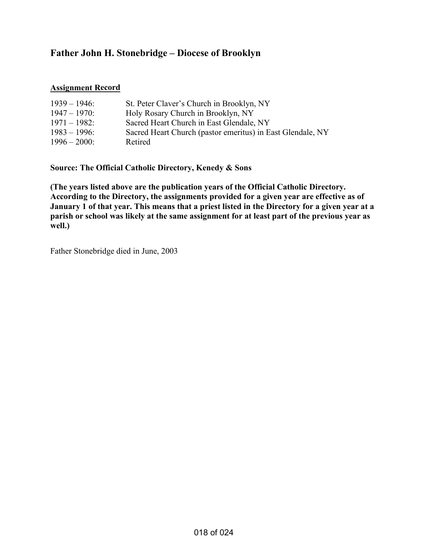# **Father John H. Stonebridge – Diocese of Brooklyn**

### **Assignment Record**

| $1939 - 1946$   | St. Peter Claver's Church in Brooklyn, NY                  |
|-----------------|------------------------------------------------------------|
| $1947 - 1970$ : | Holy Rosary Church in Brooklyn, NY                         |
| $1971 - 1982$ : | Sacred Heart Church in East Glendale, NY                   |
| $1983 - 1996$ : | Sacred Heart Church (pastor emeritus) in East Glendale, NY |
| $1996 - 2000$ : | Retired                                                    |

**Source: The Official Catholic Directory, Kenedy & Sons** 

**(The years listed above are the publication years of the Official Catholic Directory. According to the Directory, the assignments provided for a given year are effective as of January 1 of that year. This means that a priest listed in the Directory for a given year at a parish or school was likely at the same assignment for at least part of the previous year as well.)** 

Father Stonebridge died in June, 2003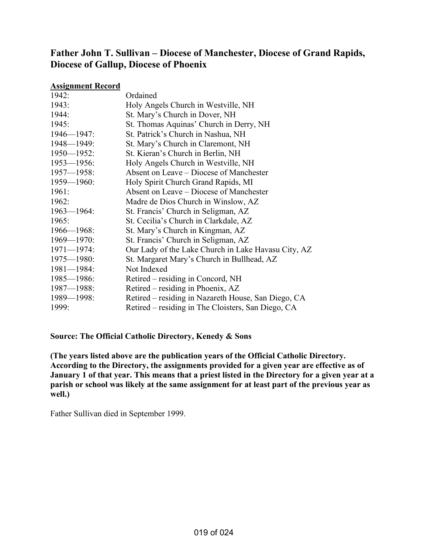## **Father John T. Sullivan – Diocese of Manchester, Diocese of Grand Rapids, Diocese of Gallup, Diocese of Phoenix**

### **Assignment Record**

| 1942:           | Ordained                                            |
|-----------------|-----------------------------------------------------|
| 1943:           | Holy Angels Church in Westville, NH                 |
| 1944:           | St. Mary's Church in Dover, NH                      |
| 1945:           | St. Thomas Aquinas' Church in Derry, NH             |
| $1946 - 1947$ : | St. Patrick's Church in Nashua, NH                  |
| $1948 - 1949$ : | St. Mary's Church in Claremont, NH                  |
| $1950 - 1952$ : | St. Kieran's Church in Berlin, NH                   |
| $1953 - 1956$ : | Holy Angels Church in Westville, NH                 |
| $1957 - 1958$ : | Absent on Leave – Diocese of Manchester             |
| $1959 - 1960$ : | Holy Spirit Church Grand Rapids, MI                 |
| 1961:           | Absent on Leave – Diocese of Manchester             |
| 1962:           | Madre de Dios Church in Winslow, AZ                 |
| $1963 - 1964$ : | St. Francis' Church in Seligman, AZ                 |
| 1965:           | St. Cecilia's Church in Clarkdale, AZ               |
| $1966 - 1968$ : | St. Mary's Church in Kingman, AZ                    |
| $1969 - 1970$ : | St. Francis' Church in Seligman, AZ                 |
| $1971 - 1974$ : | Our Lady of the Lake Church in Lake Havasu City, AZ |
| $1975 - 1980$ : | St. Margaret Mary's Church in Bullhead, AZ          |
| $1981 - 1984$ : | Not Indexed                                         |
| $1985 - 1986$ : | Retired – residing in Concord, NH                   |
| $1987 - 1988$ : | Retired – residing in Phoenix, AZ                   |
| $1989 - 1998$ : | Retired - residing in Nazareth House, San Diego, CA |
| 1999:           | Retired – residing in The Cloisters, San Diego, CA  |

**Source: The Official Catholic Directory, Kenedy & Sons** 

**(The years listed above are the publication years of the Official Catholic Directory. According to the Directory, the assignments provided for a given year are effective as of January 1 of that year. This means that a priest listed in the Directory for a given year at a parish or school was likely at the same assignment for at least part of the previous year as well.)** 

Father Sullivan died in September 1999.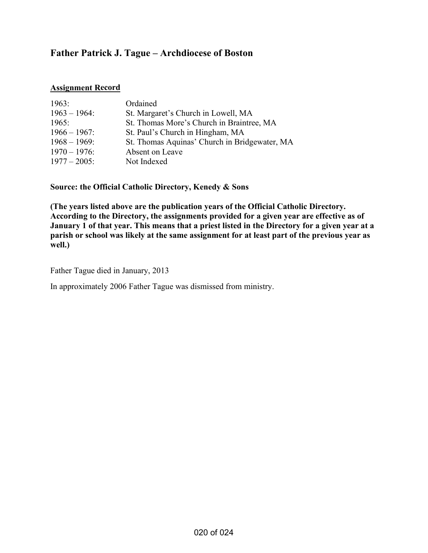# **Father Patrick J. Tague – Archdiocese of Boston**

### **Assignment Record**

| 1963:           | Ordained                                      |
|-----------------|-----------------------------------------------|
| $1963 - 1964$ : | St. Margaret's Church in Lowell, MA           |
| 1965:           | St. Thomas More's Church in Braintree, MA     |
| $1966 - 1967$ : | St. Paul's Church in Hingham, MA              |
| $1968 - 1969$ : | St. Thomas Aquinas' Church in Bridgewater, MA |
| $1970 - 1976$ : | Absent on Leave                               |
| $1977 - 2005$ : | Not Indexed                                   |

**Source: the Official Catholic Directory, Kenedy & Sons** 

**(The years listed above are the publication years of the Official Catholic Directory. According to the Directory, the assignments provided for a given year are effective as of January 1 of that year. This means that a priest listed in the Directory for a given year at a parish or school was likely at the same assignment for at least part of the previous year as well.)** 

Father Tague died in January, 2013

In approximately 2006 Father Tague was dismissed from ministry.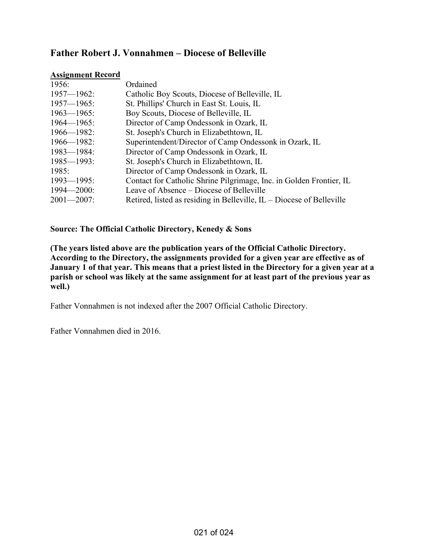## **Father Robert J. Vonnahmen – Diocese of Belleville**

#### **Assignment Record**

| 1956:           | Ordained                                                                |
|-----------------|-------------------------------------------------------------------------|
| $1957 - 1962$ : | Catholic Boy Scouts, Diocese of Belleville, IL                          |
| $1957 - 1965$ : | St. Phillips' Church in East St. Louis, IL                              |
| $1963 - 1965$ : | Boy Scouts, Diocese of Belleville, IL                                   |
| $1964 - 1965$ : | Director of Camp Ondessonk in Ozark, IL                                 |
| $1966 - 1982$ : | St. Joseph's Church in Elizabethtown, IL                                |
| $1966 - 1982$ : | Superintendent/Director of Camp Ondessonk in Ozark, IL                  |
| $1983 - 1984$ : | Director of Camp Ondessonk in Ozark, IL                                 |
| $1985 - 1993$ : | St. Joseph's Church in Elizabethtown, IL                                |
| 1985:           | Director of Camp Ondessonk in Ozark, IL                                 |
| $1993 - 1995$ : | Contact for Catholic Shrine Pilgrimage, Inc. in Golden Frontier, IL     |
| $1994 - 2000$ : | Leave of Absence – Diocese of Belleville                                |
| $2001 - 2007$ : | Retired, listed as residing in Belleville, $IL$ – Diocese of Belleville |

### **Source: The Official Catholic Directory, Kenedy & Sons**

**(The years listed above are the publication years of the Official Catholic Directory. According to the Directory, the assignments provided for a given year are effective as of January 1 of that year. This means that a priest listed in the Directory for a given year at a parish or school was likely at the same assignment for at least part of the previous year as well.)** 

Father Vonnahmen is not indexed after the 2007 Official Catholic Directory.

Father Vonnahmen died in 2016.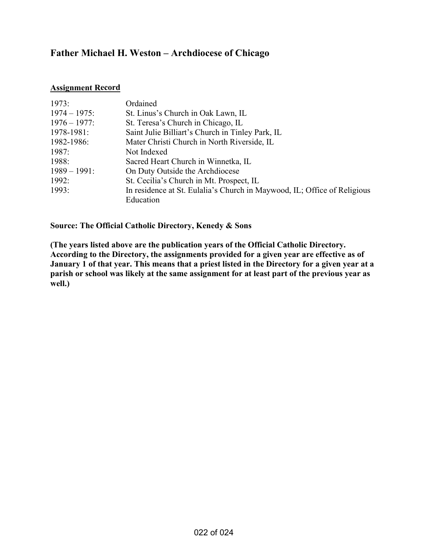# **Father Michael H. Weston – Archdiocese of Chicago**

#### **Assignment Record**

| 1973:           | Ordained                                                                 |
|-----------------|--------------------------------------------------------------------------|
| $1974 - 1975$ : | St. Linus's Church in Oak Lawn, IL                                       |
| $1976 - 1977$ : | St. Teresa's Church in Chicago, IL                                       |
| 1978-1981:      | Saint Julie Billiart's Church in Tinley Park, IL                         |
| 1982-1986:      | Mater Christi Church in North Riverside, IL                              |
| 1987:           | Not Indexed                                                              |
| 1988:           | Sacred Heart Church in Winnetka, IL                                      |
| $1989 - 1991$ : | On Duty Outside the Archdiocese                                          |
| 1992:           | St. Cecilia's Church in Mt. Prospect, IL                                 |
| 1993:           | In residence at St. Eulalia's Church in Maywood, IL; Office of Religious |
|                 | Education                                                                |

### **Source: The Official Catholic Directory, Kenedy & Sons**

**(The years listed above are the publication years of the Official Catholic Directory. According to the Directory, the assignments provided for a given year are effective as of January 1 of that year. This means that a priest listed in the Directory for a given year at a parish or school was likely at the same assignment for at least part of the previous year as well.)**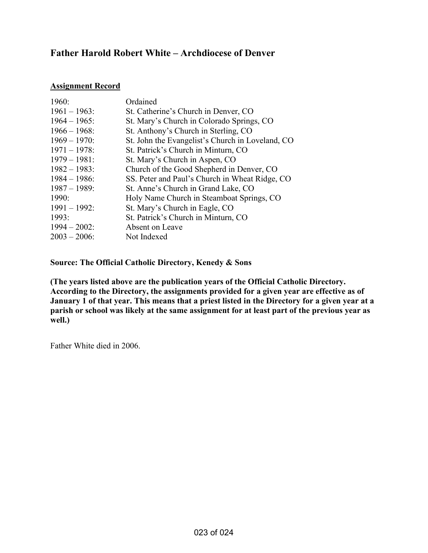# **Father Harold Robert White – Archdiocese of Denver**

### **Assignment Record**

| 1960:           | Ordained                                         |
|-----------------|--------------------------------------------------|
| $1961 - 1963$ : | St. Catherine's Church in Denver, CO             |
| $1964 - 1965$ : | St. Mary's Church in Colorado Springs, CO        |
| $1966 - 1968$   | St. Anthony's Church in Sterling, CO             |
| $1969 - 1970$ : | St. John the Evangelist's Church in Loveland, CO |
| $1971 - 1978$ : | St. Patrick's Church in Minturn, CO              |
| $1979 - 1981$ : | St. Mary's Church in Aspen, CO                   |
| $1982 - 1983$ : | Church of the Good Shepherd in Denver, CO        |
| $1984 - 1986$ : | SS. Peter and Paul's Church in Wheat Ridge, CO   |
| $1987 - 1989$ : | St. Anne's Church in Grand Lake, CO              |
| 1990:           | Holy Name Church in Steamboat Springs, CO        |
| $1991 - 1992$ : | St. Mary's Church in Eagle, CO                   |
| 1993:           | St. Patrick's Church in Minturn, CO              |
| $1994 - 2002$ : | Absent on Leave                                  |
| $2003 - 2006$   | Not Indexed                                      |

**Source: The Official Catholic Directory, Kenedy & Sons** 

**(The years listed above are the publication years of the Official Catholic Directory. According to the Directory, the assignments provided for a given year are effective as of January 1 of that year. This means that a priest listed in the Directory for a given year at a parish or school was likely at the same assignment for at least part of the previous year as well.)** 

Father White died in 2006.